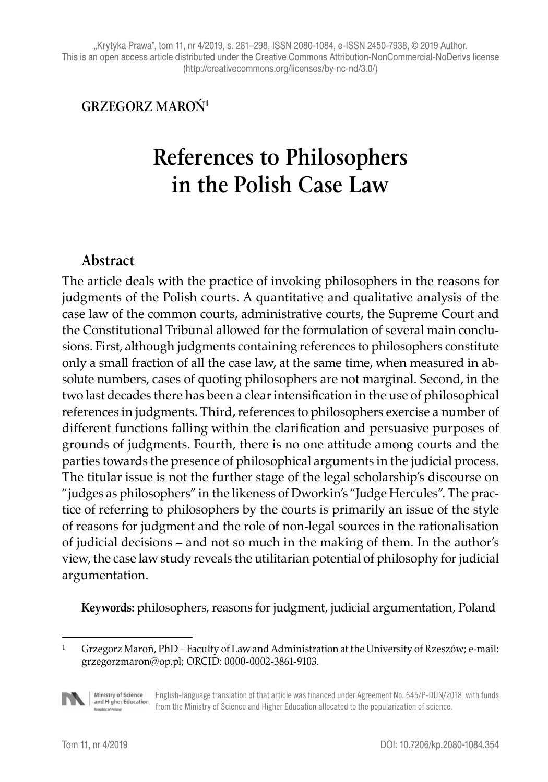"Krytyka Prawa", tom 11, nr 4/2019, s. 281-298, ISSN 2080-1084, e-ISSN 2450-7938, © 2019 Author. This is an open access article distributed under the Creative Commons Attribution-NonCommercial-NoDerivs license (http://creativecommons.org/licenses/by-nc-nd/3.0/)

#### **GRZEGORZ MAROŃ1**

# **References to Philosophers in the Polish Case Law**

#### **Abstract**

The article deals with the practice of invoking philosophers in the reasons for judgments of the Polish courts. A quantitative and qualitative analysis of the case law of the common courts, administrative courts, the Supreme Court and the Constitutional Tribunal allowed for the formulation of several main conclusions. First, although judgments containing references to philosophers constitute only a small fraction of all the case law, at the same time, when measured in absolute numbers, cases of quoting philosophers are not marginal. Second, in the two last decades there has been a clear intensification in the use of philosophical references in judgments. Third, references to philosophers exercise a number of different functions falling within the clarification and persuasive purposes of grounds of judgments. Fourth, there is no one attitude among courts and the parties towards the presence of philosophical arguments in the judicial process. The titular issue is not the further stage of the legal scholarship's discourse on "judges as philosophers" in the likeness of Dworkin's "Judge Hercules". The practice of referring to philosophers by the courts is primarily an issue of the style of reasons for judgment and the role of non-legal sources in the rationalisation of judicial decisions – and not so much in the making of them. In the author's view, the case law study reveals the utilitarian potential of philosophy for judicial argumentation.

**Keywords:** philosophers, reasons for judgment, judicial argumentation, Poland

<sup>1</sup> Grzegorz Maroń, PhD – Faculty of Law and Administration at the University of Rzeszów; e-mail: grzegorzmaron@op.pl; ORCID: 0000-0002-3861-9103.



Ministry of Science<br>and Higher Education English-language translation of that article was financed under Agreement No. 645/P-DUN/2018 with funds from the Ministry of Science and Higher Education allocated to the popularization of science.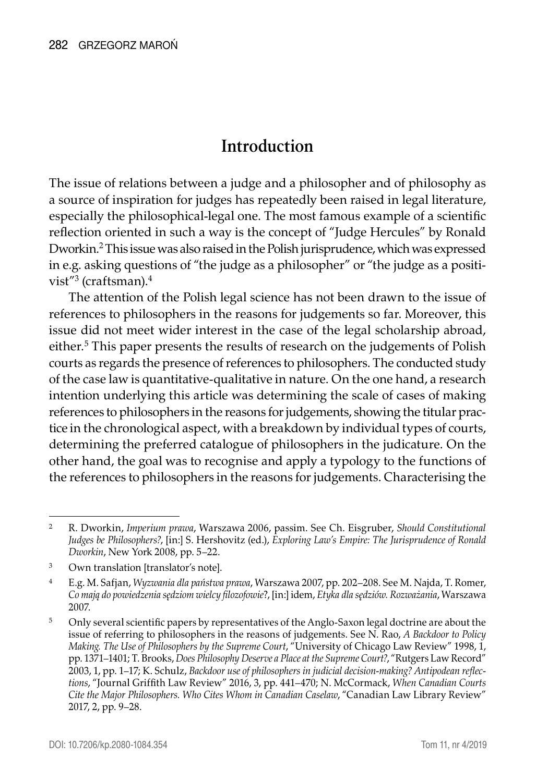### **Introduction**

The issue of relations between a judge and a philosopher and of philosophy as a source of inspiration for judges has repeatedly been raised in legal literature, especially the philosophical-legal one. The most famous example of a scientific reflection oriented in such a way is the concept of "Judge Hercules" by Ronald Dworkin.<sup>2</sup> This issue was also raised in the Polish jurisprudence, which was expressed in e.g. asking questions of "the judge as a philosopher" or "the judge as a positivist"<sup>3</sup> (craftsman).<sup>4</sup>

The attention of the Polish legal science has not been drawn to the issue of references to philosophers in the reasons for judgements so far. Moreover, this issue did not meet wider interest in the case of the legal scholarship abroad, either.<sup>5</sup> This paper presents the results of research on the judgements of Polish courts as regards the presence of references to philosophers. The conducted study of the case law is quantitative-qualitative in nature. On the one hand, a research intention underlying this article was determining the scale of cases of making references to philosophers in the reasons for judgements, showing the titular practice in the chronological aspect, with a breakdown by individual types of courts, determining the preferred catalogue of philosophers in the judicature. On the other hand, the goal was to recognise and apply a typology to the functions of the references to philosophers in the reasons for judgements. Characterising the

<sup>2</sup> R. Dworkin, *Imperium prawa*, Warszawa 2006, passim. See Ch. Eisgruber, *Should Constitutional Judges be Philosophers?*, [in:] S. Hershovitz (ed.), *Exploring Law's Empire: The Jurisprudence of Ronald Dworkin*, New York 2008, pp. 5–22.

<sup>3</sup> Own translation [translator's note].

<sup>4</sup> E.g. M. Safjan, *Wyzwania dla państwa prawa*, Warszawa 2007, pp. 202–208. See M. Najda, T. Romer, *Co mają do powiedzenia sędziom wielcy filozofowie*?, [in:] idem, *Etyka dla sędziów. Rozważania*, Warszawa 2007.

<sup>5</sup> Only several scientific papers by representatives of the Anglo-Saxon legal doctrine are about the issue of referring to philosophers in the reasons of judgements. See N. Rao, *A Backdoor to Policy Making. The Use of Philosophers by the Supreme Court*, "University of Chicago Law Review" 1998, 1, pp. 1371–1401; T. Brooks, *Does Philosophy Deserve a Place at the Supreme Court?*, "Rutgers Law Record" 2003, 1, pp. 1–17; K. Schulz, *Backdoor use of philosophers in judicial decision-making? Antipodean reflections*, "Journal Griffith Law Review" 2016, 3, pp. 441–470; N. McCormack, *When Canadian Courts Cite the Major Philosophers. Who Cites Whom in Canadian Caselaw*, "Canadian Law Library Review" 2017, 2, pp. 9–28.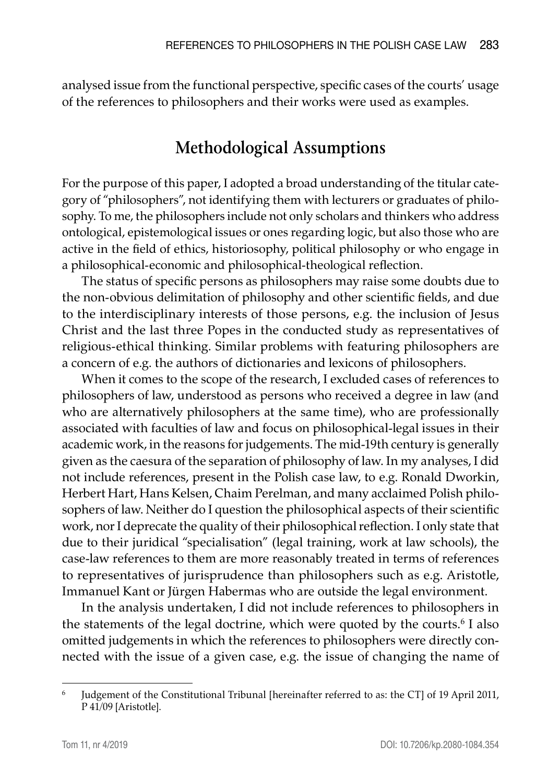analysed issue from the functional perspective, specific cases of the courts' usage of the references to philosophers and their works were used as examples.

### **Methodological Assumptions**

For the purpose of this paper, I adopted a broad understanding of the titular category of "philosophers", not identifying them with lecturers or graduates of philosophy. To me, the philosophers include not only scholars and thinkers who address ontological, epistemological issues or ones regarding logic, but also those who are active in the field of ethics, historiosophy, political philosophy or who engage in a philosophical-economic and philosophical-theological reflection.

The status of specific persons as philosophers may raise some doubts due to the non-obvious delimitation of philosophy and other scientific fields, and due to the interdisciplinary interests of those persons, e.g. the inclusion of Jesus Christ and the last three Popes in the conducted study as representatives of religious-ethical thinking. Similar problems with featuring philosophers are a concern of e.g. the authors of dictionaries and lexicons of philosophers.

When it comes to the scope of the research, I excluded cases of references to philosophers of law, understood as persons who received a degree in law (and who are alternatively philosophers at the same time), who are professionally associated with faculties of law and focus on philosophical-legal issues in their academic work, in the reasons for judgements. The mid-19th century is generally given as the caesura of the separation of philosophy of law. In my analyses, I did not include references, present in the Polish case law, to e.g. Ronald Dworkin, Herbert Hart, Hans Kelsen, Chaim Perelman, and many acclaimed Polish philosophers of law. Neither do I question the philosophical aspects of their scientific work, nor I deprecate the quality of their philosophical reflection. I only state that due to their juridical "specialisation" (legal training, work at law schools), the case-law references to them are more reasonably treated in terms of references to representatives of jurisprudence than philosophers such as e.g. Aristotle, Immanuel Kant or Jürgen Habermas who are outside the legal environment.

In the analysis undertaken, I did not include references to philosophers in the statements of the legal doctrine, which were quoted by the courts.<sup>6</sup> I also omitted judgements in which the references to philosophers were directly connected with the issue of a given case, e.g. the issue of changing the name of

<sup>6</sup> Judgement of the Constitutional Tribunal [hereinafter referred to as: the CT] of 19 April 2011, P 41/09 [Aristotle].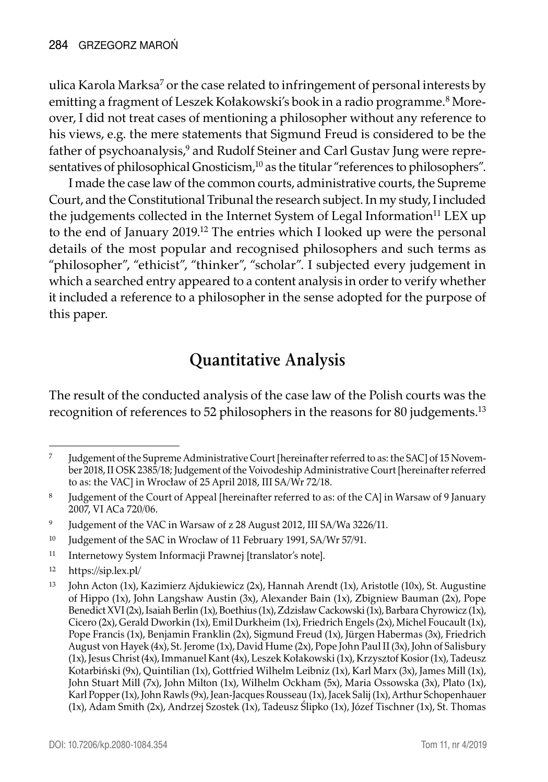ulica Karola Marksa<sup>7</sup> or the case related to infringement of personal interests by emitting a fragment of Leszek Kołakowski's book in a radio programme.<sup>8</sup> Moreover, I did not treat cases of mentioning a philosopher without any reference to his views, e.g. the mere statements that Sigmund Freud is considered to be the father of psychoanalysis,<sup>9</sup> and Rudolf Steiner and Carl Gustav Jung were representatives of philosophical Gnosticism,<sup>10</sup> as the titular "references to philosophers".

I made the case law of the common courts, administrative courts, the Supreme Court, and the Constitutional Tribunal the research subject. In my study, I included the judgements collected in the Internet System of Legal Information<sup>11</sup> LEX up to the end of January 2019.<sup>12</sup> The entries which I looked up were the personal details of the most popular and recognised philosophers and such terms as "philosopher", "ethicist", "thinker", "scholar". I subjected every judgement in which a searched entry appeared to a content analysis in order to verify whether it included a reference to a philosopher in the sense adopted for the purpose of this paper.

## **Quantitative Analysis**

The result of the conducted analysis of the case law of the Polish courts was the recognition of references to 52 philosophers in the reasons for 80 judgements.13

- <sup>11</sup> Internetowy System Informacji Prawnej [translator's note].
- <sup>12</sup> https://sip.lex.pl/

<sup>&</sup>lt;sup>7</sup> Judgement of the Supreme Administrative Court [hereinafter referred to as: the SAC] of 15 November 2018, II OSK 2385/18; Judgement of the Voivodeship Administrative Court [hereinafter referred to as: the VAC] in Wrocław of 25 April 2018, III SA/Wr 72/18.

<sup>&</sup>lt;sup>8</sup> Judgement of the Court of Appeal [hereinafter referred to as: of the CA] in Warsaw of 9 January 2007, VI ACa 720/06.

<sup>9</sup> Judgement of the VAC in Warsaw of z 28 August 2012, III SA/Wa 3226/11.

<sup>&</sup>lt;sup>10</sup> Judgement of the SAC in Wrocław of 11 February 1991, SA/Wr 57/91.

<sup>13</sup> John Acton (1x), Kazimierz Ajdukiewicz (2x), Hannah Arendt (1x), Aristotle (10x), St. Augustine of Hippo (1x), John Langshaw Austin (3x), Alexander Bain (1x), Zbigniew Bauman (2x), Pope Benedict XVI (2x), Isaiah Berlin (1x), Boethius (1x), Zdzisław Cackowski (1x), Barbara Chyrowicz (1x), Cicero (2x), Gerald Dworkin (1x), Emil Durkheim (1x), Friedrich Engels (2x), Michel Foucault (1x), Pope Francis (1x), Benjamin Franklin (2x), Sigmund Freud (1x), Jürgen Habermas (3x), Friedrich August von Hayek (4x), St. Jerome (1x), David Hume (2x), Pope John Paul II (3x), John of Salisbury (1x), Jesus Christ (4x), Immanuel Kant (4x), Leszek Kołakowski (1x), Krzysztof Kosior (1x), Tadeusz Kotarbiński (9x), Quintilian (1x), Gottfried Wilhelm Leibniz (1x), Karl Marx (3x), James Mill (1x), John Stuart Mill (7x), John Milton (1x), Wilhelm Ockham (5x), Maria Ossowska (3x), Plato (1x), Karl Popper (1x), John Rawls (9x), Jean-Jacques Rousseau (1x), Jacek Salij (1x), Arthur Schopenhauer (1x), Adam Smith (2x), Andrzej Szostek (1x), Tadeusz Ślipko (1x), Józef Tischner (1x), St. Thomas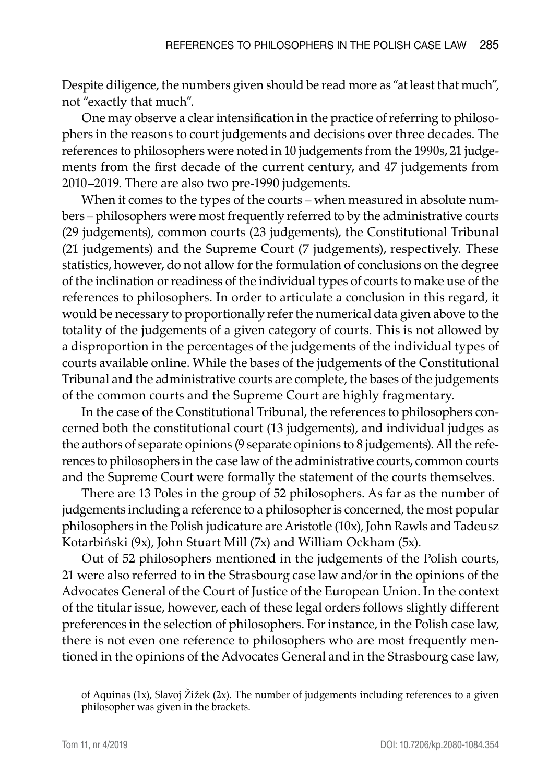Despite diligence, the numbers given should be read more as "at least that much", not "exactly that much".

One may observe a clear intensification in the practice of referring to philosophers in the reasons to court judgements and decisions over three decades. The references to philosophers were noted in 10 judgements from the 1990s, 21 judgements from the first decade of the current century, and 47 judgements from 2010–2019. There are also two pre-1990 judgements.

When it comes to the types of the courts – when measured in absolute numbers – philosophers were most frequently referred to by the administrative courts (29 judgements), common courts (23 judgements), the Constitutional Tribunal (21 judgements) and the Supreme Court (7 judgements), respectively. These statistics, however, do not allow for the formulation of conclusions on the degree of the inclination or readiness of the individual types of courts to make use of the references to philosophers. In order to articulate a conclusion in this regard, it would be necessary to proportionally refer the numerical data given above to the totality of the judgements of a given category of courts. This is not allowed by a disproportion in the percentages of the judgements of the individual types of courts available online. While the bases of the judgements of the Constitutional Tribunal and the administrative courts are complete, the bases of the judgements of the common courts and the Supreme Court are highly fragmentary.

In the case of the Constitutional Tribunal, the references to philosophers concerned both the constitutional court (13 judgements), and individual judges as the authors of separate opinions (9 separate opinions to 8 judgements). All the references to philosophers in the case law of the administrative courts, common courts and the Supreme Court were formally the statement of the courts themselves.

There are 13 Poles in the group of 52 philosophers. As far as the number of judgements including a reference to a philosopher is concerned, the most popular philosophers in the Polish judicature are Aristotle (10x), John Rawls and Tadeusz Kotarbiński (9x), John Stuart Mill (7x) and William Ockham (5x).

Out of 52 philosophers mentioned in the judgements of the Polish courts, 21 were also referred to in the Strasbourg case law and/or in the opinions of the Advocates General of the Court of Justice of the European Union. In the context of the titular issue, however, each of these legal orders follows slightly different preferences in the selection of philosophers. For instance, in the Polish case law, there is not even one reference to philosophers who are most frequently mentioned in the opinions of the Advocates General and in the Strasbourg case law,

of Aquinas (1x), Slavoj Žižek (2x). The number of judgements including references to a given philosopher was given in the brackets.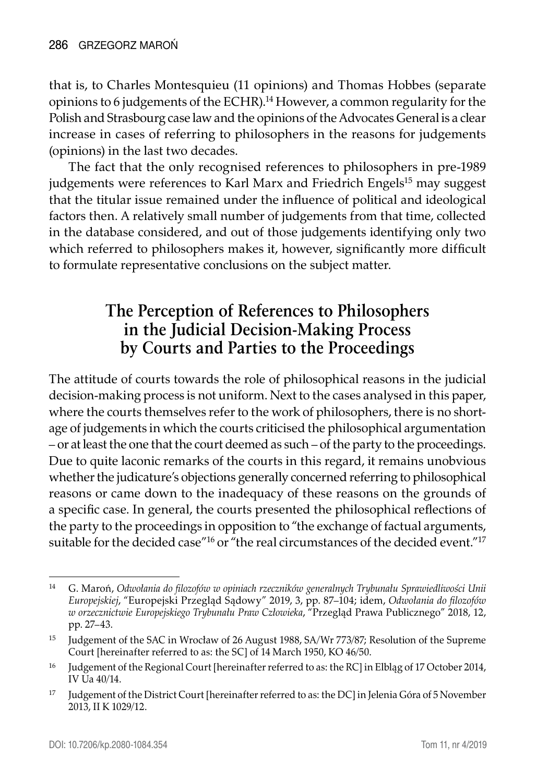that is, to Charles Montesquieu (11 opinions) and Thomas Hobbes (separate opinions to 6 judgements of the ECHR).<sup>14</sup> However, a common regularity for the Polish and Strasbourg case law and the opinions of the Advocates General is a clear increase in cases of referring to philosophers in the reasons for judgements (opinions) in the last two decades.

The fact that the only recognised references to philosophers in pre-1989 judgements were references to Karl Marx and Friedrich Engels<sup>15</sup> may suggest that the titular issue remained under the influence of political and ideological factors then. A relatively small number of judgements from that time, collected in the database considered, and out of those judgements identifying only two which referred to philosophers makes it, however, significantly more difficult to formulate representative conclusions on the subject matter.

#### **The Perception of References to Philosophers in the Judicial Decision-Making Process by Courts and Parties to the Proceedings**

The attitude of courts towards the role of philosophical reasons in the judicial decision-making process is not uniform. Next to the cases analysed in this paper, where the courts themselves refer to the work of philosophers, there is no shortage of judgements in which the courts criticised the philosophical argumentation – or at least the one that the court deemed as such – of the party to the proceedings. Due to quite laconic remarks of the courts in this regard, it remains unobvious whether the judicature's objections generally concerned referring to philosophical reasons or came down to the inadequacy of these reasons on the grounds of a specific case. In general, the courts presented the philosophical reflections of the party to the proceedings in opposition to "the exchange of factual arguments, suitable for the decided case<sup>"16</sup> or "the real circumstances of the decided event."<sup>17</sup>

<sup>14</sup> G. Maroń, *Odwołania do filozofów w opiniach rzeczników generalnych Trybunału Sprawiedliwości Unii Europejskiej*, "Europejski Przegląd Sądowy" 2019, 3, pp. 87–104; idem, *Odwołania do filozofów w orzecznictwie Europejskiego Trybunału Praw Człowieka*, "Przegląd Prawa Publicznego" 2018, 12, pp. 27–43.

<sup>15</sup> Judgement of the SAC in Wrocław of 26 August 1988, SA/Wr 773/87; Resolution of the Supreme Court [hereinafter referred to as: the SC] of 14 March 1950, KO 46/50.

<sup>&</sup>lt;sup>16</sup> Judgement of the Regional Court [hereinafter referred to as: the RC] in Elblag of 17 October 2014, IV Ua 40/14.

<sup>&</sup>lt;sup>17</sup> Judgement of the District Court [hereinafter referred to as: the DC] in Jelenia Góra of 5 November 2013, II K 1029/12.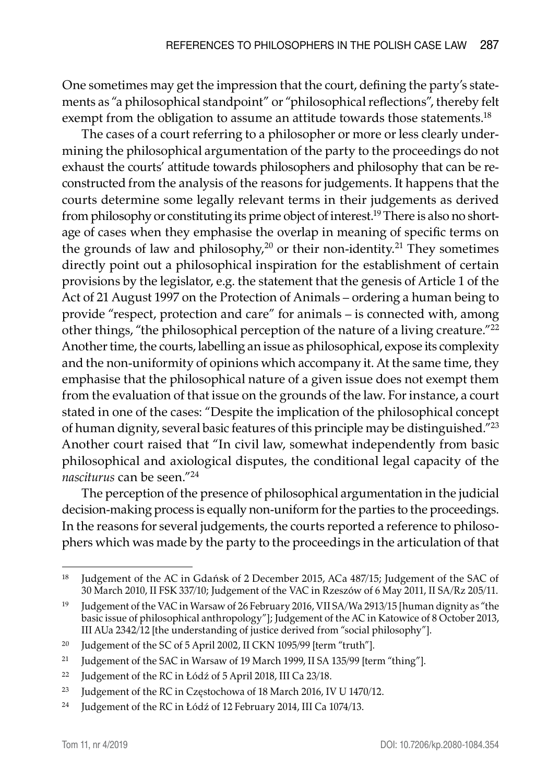One sometimes may get the impression that the court, defining the party's statements as "a philosophical standpoint" or "philosophical reflections", thereby felt exempt from the obligation to assume an attitude towards those statements.<sup>18</sup>

The cases of a court referring to a philosopher or more or less clearly undermining the philosophical argumentation of the party to the proceedings do not exhaust the courts' attitude towards philosophers and philosophy that can be reconstructed from the analysis of the reasons for judgements. It happens that the courts determine some legally relevant terms in their judgements as derived from philosophy or constituting its prime object of interest.<sup>19</sup> There is also no shortage of cases when they emphasise the overlap in meaning of specific terms on the grounds of law and philosophy, $2^0$  or their non-identity.<sup>21</sup> They sometimes directly point out a philosophical inspiration for the establishment of certain provisions by the legislator, e.g. the statement that the genesis of Article 1 of the Act of 21 August 1997 on the Protection of Animals – ordering a human being to provide "respect, protection and care" for animals – is connected with, among other things, "the philosophical perception of the nature of a living creature."22 Another time, the courts, labelling an issue as philosophical, expose its complexity and the non-uniformity of opinions which accompany it. At the same time, they emphasise that the philosophical nature of a given issue does not exempt them from the evaluation of that issue on the grounds of the law. For instance, a court stated in one of the cases: "Despite the implication of the philosophical concept of human dignity, several basic features of this principle may be distinguished."23 Another court raised that "In civil law, somewhat independently from basic philosophical and axiological disputes, the conditional legal capacity of the *nasciturus* can be seen."<sup>24</sup>

The perception of the presence of philosophical argumentation in the judicial decision-making process is equally non-uniform for the parties to the proceedings. In the reasons for several judgements, the courts reported a reference to philosophers which was made by the party to the proceedings in the articulation of that

<sup>&</sup>lt;sup>18</sup> Judgement of the AC in Gdańsk of 2 December 2015, ACa 487/15; Judgement of the SAC of 30 March 2010, II FSK 337/10; Judgement of the VAC in Rzeszów of 6 May 2011, II SA/Rz 205/11.

<sup>&</sup>lt;sup>19</sup> Judgement of the VAC in Warsaw of 26 February 2016, VII SA/Wa 2913/15 [human dignity as "the basic issue of philosophical anthropology"]; Judgement of the AC in Katowice of 8 October 2013, III AUa 2342/12 [the understanding of justice derived from "social philosophy"].

<sup>&</sup>lt;sup>20</sup> Judgement of the SC of 5 April 2002, II CKN 1095/99 [term "truth"].

<sup>&</sup>lt;sup>21</sup> Judgement of the SAC in Warsaw of 19 March 1999, II SA 135/99 [term "thing"].

<sup>22</sup> Judgement of the RC in Łódź of 5 April 2018, III Ca 23/18.

<sup>&</sup>lt;sup>23</sup> Judgement of the RC in Częstochowa of 18 March 2016, IV U 1470/12.

<sup>24</sup> Judgement of the RC in Łódź of 12 February 2014, III Ca 1074/13.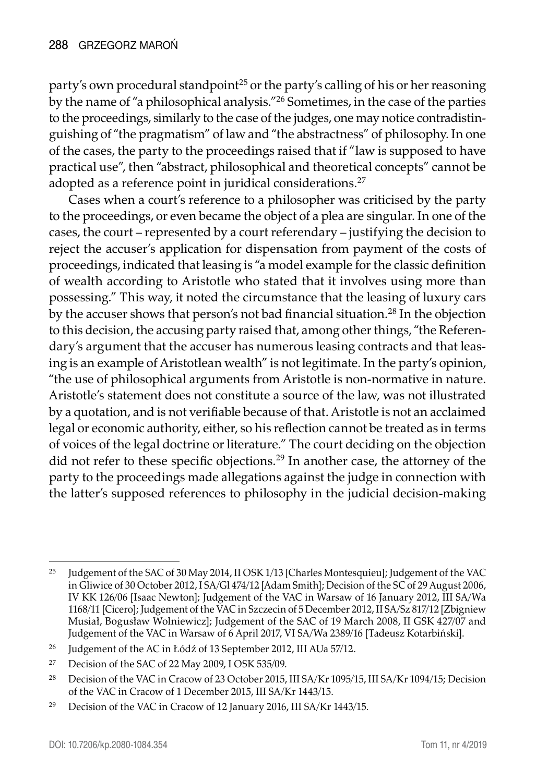party's own procedural standpoint<sup>25</sup> or the party's calling of his or her reasoning by the name of "a philosophical analysis."26 Sometimes, in the case of the parties to the proceedings, similarly to the case of the judges, one may notice contradistinguishing of "the pragmatism" of law and "the abstractness" of philosophy. In one of the cases, the party to the proceedings raised that if "law is supposed to have practical use", then "abstract, philosophical and theoretical concepts" cannot be adopted as a reference point in juridical considerations.<sup>27</sup>

Cases when a court's reference to a philosopher was criticised by the party to the proceedings, or even became the object of a plea are singular. In one of the cases, the court – represented by a court referendary – justifying the decision to reject the accuser's application for dispensation from payment of the costs of proceedings, indicated that leasing is "a model example for the classic definition of wealth according to Aristotle who stated that it involves using more than possessing." This way, it noted the circumstance that the leasing of luxury cars by the accuser shows that person's not bad financial situation.28 In the objection to this decision, the accusing party raised that, among other things, "the Referendary's argument that the accuser has numerous leasing contracts and that leasing is an example of Aristotlean wealth" is not legitimate. In the party's opinion, "the use of philosophical arguments from Aristotle is non-normative in nature. Aristotle's statement does not constitute a source of the law, was not illustrated by a quotation, and is not verifiable because of that. Aristotle is not an acclaimed legal or economic authority, either, so his reflection cannot be treated as in terms of voices of the legal doctrine or literature." The court deciding on the objection did not refer to these specific objections.<sup>29</sup> In another case, the attorney of the party to the proceedings made allegations against the judge in connection with the latter's supposed references to philosophy in the judicial decision-making

<sup>25</sup> Judgement of the SAC of 30 May 2014, II OSK 1/13 [Charles Montesquieu]; Judgement of the VAC in Gliwice of 30 October 2012, I SA/Gl 474/12 [Adam Smith]; Decision of the SC of 29 August 2006, IV KK 126/06 [Isaac Newton]; Judgement of the VAC in Warsaw of 16 January 2012, III SA/Wa 1168/11 [Cicero]; Judgement of the VAC in Szczecin of 5 December 2012, II SA/Sz 817/12 [Zbigniew Musiał, Bogusław Wolniewicz]; Judgement of the SAC of 19 March 2008, II GSK 427/07 and Judgement of the VAC in Warsaw of 6 April 2017, VI SA/Wa 2389/16 [Tadeusz Kotarbiński].

<sup>&</sup>lt;sup>26</sup> Judgement of the AC in Łódź of 13 September 2012, III AUa 57/12.

<sup>27</sup> Decision of the SAC of 22 May 2009, I OSK 535/09.

<sup>&</sup>lt;sup>28</sup> Decision of the VAC in Cracow of 23 October 2015, III SA/Kr 1095/15, III SA/Kr 1094/15; Decision of the VAC in Cracow of 1 December 2015, III SA/Kr 1443/15.

<sup>29</sup> Decision of the VAC in Cracow of 12 January 2016, III SA/Kr 1443/15.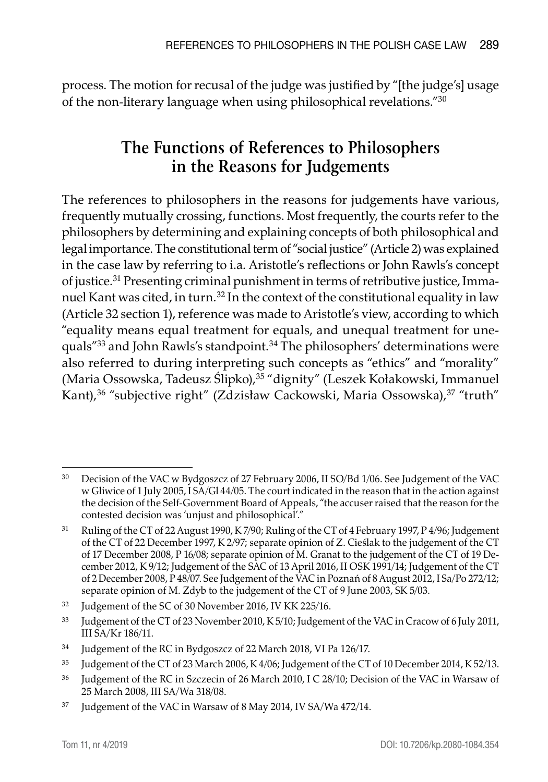process. The motion for recusal of the judge was justified by "[the judge's] usage of the non-literary language when using philosophical revelations."30

## **The Functions of References to Philosophers in the Reasons for Judgements**

The references to philosophers in the reasons for judgements have various, frequently mutually crossing, functions. Most frequently, the courts refer to the philosophers by determining and explaining concepts of both philosophical and legal importance. The constitutional term of "social justice" (Article 2) was explained in the case law by referring to i.a. Aristotle's reflections or John Rawls's concept of justice.31 Presenting criminal punishment in terms of retributive justice, Immanuel Kant was cited, in turn.<sup>32</sup> In the context of the constitutional equality in law (Article 32 section 1), reference was made to Aristotle's view, according to which "equality means equal treatment for equals, and unequal treatment for unequals"<sup>33</sup> and John Rawls's standpoint.<sup>34</sup> The philosophers' determinations were also referred to during interpreting such concepts as "ethics" and "morality" (Maria Ossowska, Tadeusz Ślipko),35 "dignity" (Leszek Kołakowski, Immanuel Kant),<sup>36</sup> "subjective right" (Zdzisław Cackowski, Maria Ossowska),<sup>37</sup> "truth"

<sup>30</sup> Decision of the VAC w Bydgoszcz of 27 February 2006, II SO/Bd 1/06. See Judgement of the VAC w Gliwice of 1 July 2005, I SA/Gl 44/05. The court indicated in the reason that in the action against the decision of the Self-Government Board of Appeals, "the accuser raised that the reason for the contested decision was 'unjust and philosophical'."

<sup>31</sup> Ruling of the CT of 22 August 1990, K 7/90; Ruling of the CT of 4 February 1997, P 4/96; Judgement of the CT of 22 December 1997, K 2/97; separate opinion of Z. Cieślak to the judgement of the CT of 17 December 2008, P 16/08; separate opinion of M. Granat to the judgement of the CT of 19 December 2012, K 9/12; Judgement of the SAC of 13 April 2016, II OSK 1991/14; Judgement of the CT of 2 December 2008, P 48/07. See Judgement of the VAC in Poznań of 8 August 2012, I Sa/Po 272/12; separate opinion of M. Zdyb to the judgement of the CT of 9 June 2003, SK 5/03.

<sup>&</sup>lt;sup>32</sup> Judgement of the SC of 30 November 2016, IV KK 225/16.

<sup>33</sup> Judgement of the CT of 23 November 2010, K 5/10; Judgement of the VAC in Cracow of 6 July 2011, III SA/Kr 186/11.

<sup>34</sup> Judgement of the RC in Bydgoszcz of 22 March 2018, VI Pa 126/17.

<sup>35</sup> Judgement of the CT of 23 March 2006, K 4/06; Judgement of the CT of 10 December 2014, K 52/13.

<sup>&</sup>lt;sup>36</sup> Judgement of the RC in Szczecin of 26 March 2010, I C 28/10; Decision of the VAC in Warsaw of 25 March 2008, III SA/Wa 318/08.

<sup>37</sup> Judgement of the VAC in Warsaw of 8 May 2014, IV SA/Wa 472/14.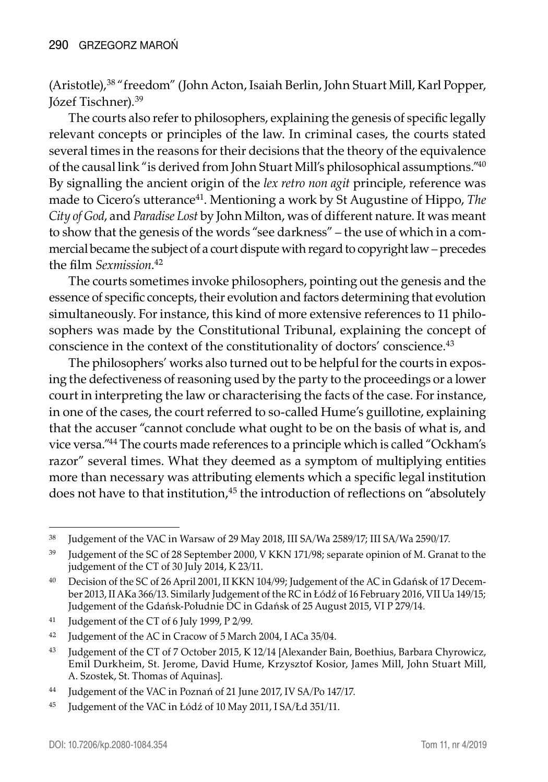(Aristotle),38 "freedom" (John Acton, Isaiah Berlin, John Stuart Mill, Karl Popper, Józef Tischner).39

The courts also refer to philosophers, explaining the genesis of specific legally relevant concepts or principles of the law. In criminal cases, the courts stated several times in the reasons for their decisions that the theory of the equivalence of the causal link "is derived from John Stuart Mill's philosophical assumptions."<sup>40</sup> By signalling the ancient origin of the *lex retro non agit* principle, reference was made to Cicero's utterance<sup>41</sup>. Mentioning a work by St Augustine of Hippo, *The City of God*, and *Paradise Lost* by John Milton, was of different nature. It was meant to show that the genesis of the words "see darkness" – the use of which in a commercial became the subject of a court dispute with regard to copyright law – precedes the film *Sexmission*. 42

The courts sometimes invoke philosophers, pointing out the genesis and the essence of specific concepts, their evolution and factors determining that evolution simultaneously. For instance, this kind of more extensive references to 11 philosophers was made by the Constitutional Tribunal, explaining the concept of conscience in the context of the constitutionality of doctors' conscience.<sup>43</sup>

The philosophers' works also turned out to be helpful for the courts in exposing the defectiveness of reasoning used by the party to the proceedings or a lower court in interpreting the law or characterising the facts of the case. For instance, in one of the cases, the court referred to so-called Hume's guillotine, explaining that the accuser "cannot conclude what ought to be on the basis of what is, and vice versa."44 The courts made references to a principle which is called "Ockham's razor" several times. What they deemed as a symptom of multiplying entities more than necessary was attributing elements which a specific legal institution does not have to that institution,<sup>45</sup> the introduction of reflections on "absolutely

<sup>38</sup> Judgement of the VAC in Warsaw of 29 May 2018, III SA/Wa 2589/17; III SA/Wa 2590/17.

<sup>&</sup>lt;sup>39</sup> Judgement of the SC of 28 September 2000, V KKN 171/98; separate opinion of M. Granat to the judgement of the CT of 30 July 2014, K 23/11.

<sup>40</sup> Decision of the SC of 26 April 2001, II KKN 104/99; Judgement of the AC in Gdańsk of 17 December 2013, II AKa 366/13. Similarly Judgement of the RC in Łódź of 16 February 2016, VII Ua 149/15; Judgement of the Gdańsk-Południe DC in Gdańsk of 25 August 2015, VI P 279/14.

<sup>41</sup> Judgement of the CT of 6 July 1999, P 2/99.

<sup>&</sup>lt;sup>42</sup> Judgement of the AC in Cracow of 5 March 2004, I ACa 35/04.

<sup>43</sup> Judgement of the CT of 7 October 2015, K 12/14 [Alexander Bain, Boethius, Barbara Chyrowicz, Emil Durkheim, St. Jerome, David Hume, Krzysztof Kosior, James Mill, John Stuart Mill, A. Szostek, St. Thomas of Aquinas].

<sup>44</sup> Judgement of the VAC in Poznań of 21 June 2017, IV SA/Po 147/17.

<sup>45</sup> Judgement of the VAC in Łódź of 10 May 2011, I SA/Łd 351/11.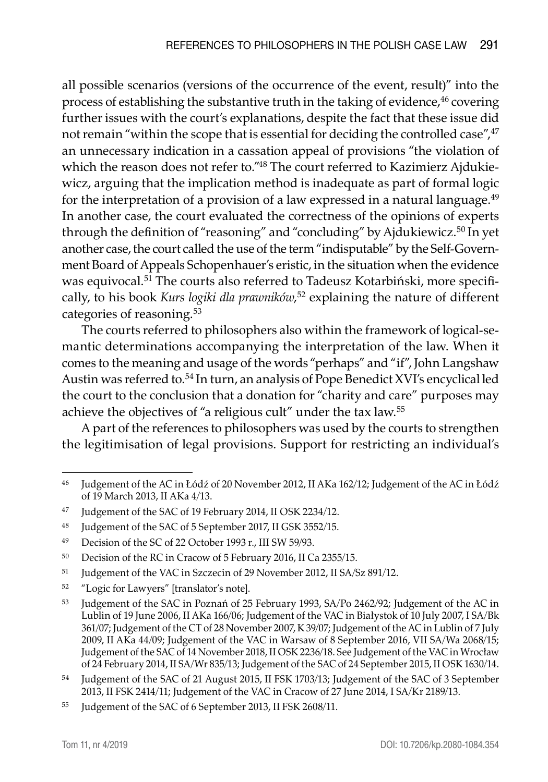all possible scenarios (versions of the occurrence of the event, result)" into the process of establishing the substantive truth in the taking of evidence,<sup>46</sup> covering further issues with the court's explanations, despite the fact that these issue did not remain "within the scope that is essential for deciding the controlled case",<sup>47</sup> an unnecessary indication in a cassation appeal of provisions "the violation of which the reason does not refer to."48 The court referred to Kazimierz Ajdukiewicz, arguing that the implication method is inadequate as part of formal logic for the interpretation of a provision of a law expressed in a natural language.<sup>49</sup> In another case, the court evaluated the correctness of the opinions of experts through the definition of "reasoning" and "concluding" by Ajdukiewicz.50 In yet another case, the court called the use of the term "indisputable" by the Self-Government Board of Appeals Schopenhauer's eristic, in the situation when the evidence was equivocal.<sup>51</sup> The courts also referred to Tadeusz Kotarbiński, more specifically, to his book *Kurs logiki dla prawników*, <sup>52</sup> explaining the nature of different categories of reasoning.<sup>53</sup>

The courts referred to philosophers also within the framework of logical-semantic determinations accompanying the interpretation of the law. When it comes to the meaning and usage of the words "perhaps" and "if", John Langshaw Austin was referred to.54 In turn, an analysis of Pope Benedict XVI's encyclical led the court to the conclusion that a donation for "charity and care" purposes may achieve the objectives of "a religious cult" under the tax law.<sup>55</sup>

A part of the references to philosophers was used by the courts to strengthen the legitimisation of legal provisions. Support for restricting an individual's

- <sup>51</sup> Judgement of the VAC in Szczecin of 29 November 2012, II SA/Sz 891/12.
- <sup>52</sup> "Logic for Lawyers" [translator's note].

<sup>46</sup> Judgement of the AC in Łódź of 20 November 2012, II AKa 162/12; Judgement of the AC in Łódź of 19 March 2013, II AKa 4/13.

<sup>47</sup> Judgement of the SAC of 19 February 2014, II OSK 2234/12.

<sup>48</sup> Judgement of the SAC of 5 September 2017, II GSK 3552/15.

<sup>49</sup> Decision of the SC of 22 October 1993 r., III SW 59/93.

<sup>50</sup> Decision of the RC in Cracow of 5 February 2016, II Ca 2355/15.

<sup>53</sup> Judgement of the SAC in Poznań of 25 February 1993, SA/Po 2462/92; Judgement of the AC in Lublin of 19 June 2006, II AKa 166/06; Judgement of the VAC in Białystok of 10 July 2007, I SA/Bk 361/07; Judgement of the CT of 28 November 2007, K 39/07; Judgement of the AC in Lublin of 7 July 2009, II AKa 44/09; Judgement of the VAC in Warsaw of 8 September 2016, VII SA/Wa 2068/15; Judgement of the SAC of 14 November 2018, II OSK 2236/18. See Judgement of the VAC in Wrocław of 24 February 2014, II SA/Wr 835/13; Judgement of the SAC of 24 September 2015, II OSK 1630/14.

<sup>54</sup> Judgement of the SAC of 21 August 2015, II FSK 1703/13; Judgement of the SAC of 3 September 2013, II FSK 2414/11; Judgement of the VAC in Cracow of 27 June 2014, I SA/Kr 2189/13.

<sup>55</sup> Judgement of the SAC of 6 September 2013, II FSK 2608/11.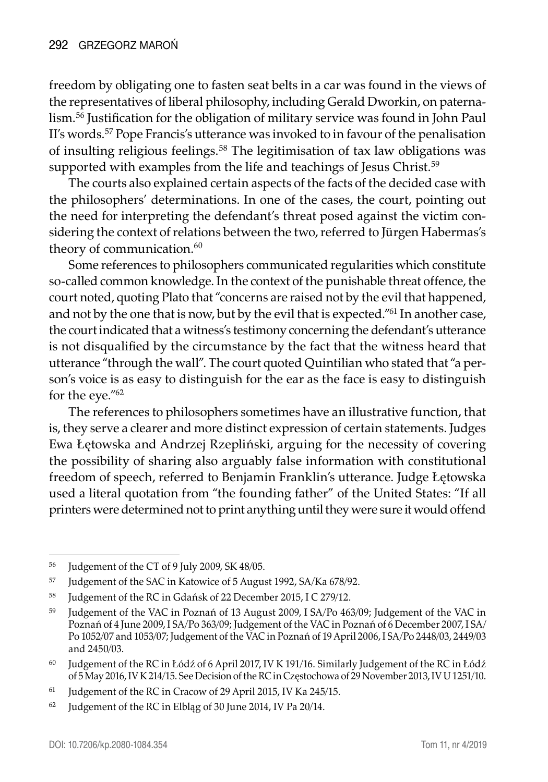freedom by obligating one to fasten seat belts in a car was found in the views of the representatives of liberal philosophy, including Gerald Dworkin, on paternalism.56 Justification for the obligation of military service was found in John Paul II's words.<sup>57</sup> Pope Francis's utterance was invoked to in favour of the penalisation of insulting religious feelings.<sup>58</sup> The legitimisation of tax law obligations was supported with examples from the life and teachings of Jesus Christ.<sup>59</sup>

The courts also explained certain aspects of the facts of the decided case with the philosophers' determinations. In one of the cases, the court, pointing out the need for interpreting the defendant's threat posed against the victim considering the context of relations between the two, referred to Jürgen Habermas's theory of communication.<sup>60</sup>

Some references to philosophers communicated regularities which constitute so-called common knowledge. In the context of the punishable threat offence, the court noted, quoting Plato that "concerns are raised not by the evil that happened, and not by the one that is now, but by the evil that is expected."61 In another case, the court indicated that a witness's testimony concerning the defendant's utterance is not disqualified by the circumstance by the fact that the witness heard that utterance "through the wall". The court quoted Quintilian who stated that "a person's voice is as easy to distinguish for the ear as the face is easy to distinguish for the eye."62

The references to philosophers sometimes have an illustrative function, that is, they serve a clearer and more distinct expression of certain statements. Judges Ewa Łętowska and Andrzej Rzepliński, arguing for the necessity of covering the possibility of sharing also arguably false information with constitutional freedom of speech, referred to Benjamin Franklin's utterance. Judge Łętowska used a literal quotation from "the founding father" of the United States: "If all printers were determined not to print anything until they were sure it would offend

<sup>56</sup> Judgement of the CT of 9 July 2009, SK 48/05.

<sup>57</sup> Judgement of the SAC in Katowice of 5 August 1992, SA/Ka 678/92.

<sup>58</sup> Judgement of the RC in Gdańsk of 22 December 2015, I C 279/12.

<sup>59</sup> Judgement of the VAC in Poznań of 13 August 2009, I SA/Po 463/09; Judgement of the VAC in Poznań of 4 June 2009, I SA/Po 363/09; Judgement of the VAC in Poznań of 6 December 2007, I SA/ Po 1052/07 and 1053/07; Judgement of the VAC in Poznań of 19 April 2006, I SA/Po 2448/03, 2449/03 and 2450/03.

<sup>60</sup> Judgement of the RC in Łódź of 6 April 2017, IV K 191/16. Similarly Judgement of the RC in Łódź of 5 May 2016, IV K 214/15. See Decision of the RC in Częstochowa of 29 November 2013, IV U 1251/10.

<sup>&</sup>lt;sup>61</sup> Judgement of the RC in Cracow of 29 April 2015, IV Ka 245/15.

<sup>&</sup>lt;sup>62</sup> Judgement of the RC in Elbląg of 30 June 2014, IV Pa 20/14.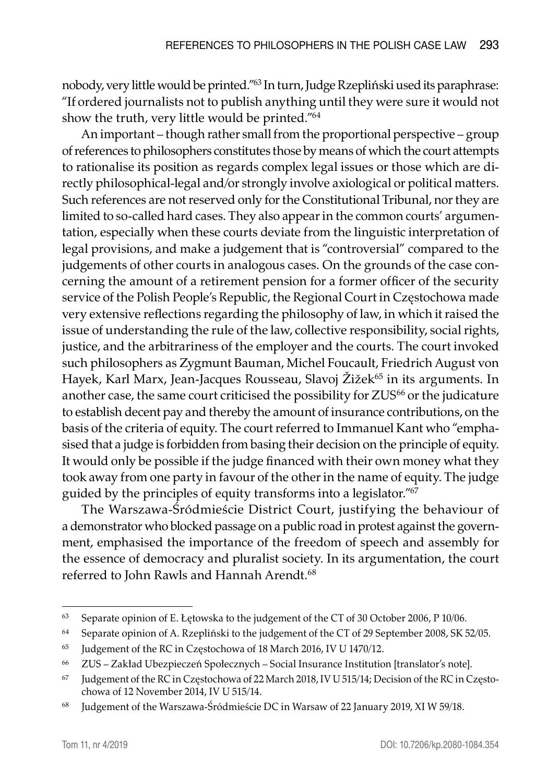nobody, very little would be printed."63 In turn, Judge Rzepliński used its paraphrase: "If ordered journalists not to publish anything until they were sure it would not show the truth, very little would be printed."64

An important – though rather small from the proportional perspective – group of references to philosophers constitutes those by means of which the court attempts to rationalise its position as regards complex legal issues or those which are directly philosophical-legal and/or strongly involve axiological or political matters. Such references are not reserved only for the Constitutional Tribunal, nor they are limited to so-called hard cases. They also appear in the common courts' argumentation, especially when these courts deviate from the linguistic interpretation of legal provisions, and make a judgement that is "controversial" compared to the judgements of other courts in analogous cases. On the grounds of the case concerning the amount of a retirement pension for a former officer of the security service of the Polish People's Republic, the Regional Court in Częstochowa made very extensive reflections regarding the philosophy of law, in which it raised the issue of understanding the rule of the law, collective responsibility, social rights, justice, and the arbitrariness of the employer and the courts. The court invoked such philosophers as Zygmunt Bauman, Michel Foucault, Friedrich August von Hayek, Karl Marx, Jean-Jacques Rousseau, Slavoj Žižek<sup>65</sup> in its arguments. In another case, the same court criticised the possibility for ZUS<sup>66</sup> or the judicature to establish decent pay and thereby the amount of insurance contributions, on the basis of the criteria of equity. The court referred to Immanuel Kant who "emphasised that a judge is forbidden from basing their decision on the principle of equity. It would only be possible if the judge financed with their own money what they took away from one party in favour of the other in the name of equity. The judge guided by the principles of equity transforms into a legislator."67

The Warszawa-Śródmieście District Court, justifying the behaviour of a demonstrator who blocked passage on a public road in protest against the government, emphasised the importance of the freedom of speech and assembly for the essence of democracy and pluralist society. In its argumentation, the court referred to John Rawls and Hannah Arendt.<sup>68</sup>

<sup>63</sup> Separate opinion of E. Łętowska to the judgement of the CT of 30 October 2006, P 10/06.

<sup>&</sup>lt;sup>64</sup> Separate opinion of A. Rzepliński to the judgement of the CT of 29 September 2008, SK 52/05.

<sup>&</sup>lt;sup>65</sup> Judgement of the RC in Częstochowa of 18 March 2016, IV U 1470/12.

<sup>66</sup> ZUS – Zakład Ubezpieczeń Społecznych – Social Insurance Institution [translator's note].

<sup>&</sup>lt;sup>67</sup> Judgement of the RC in Częstochowa of 22 March 2018, IV U 515/14; Decision of the RC in Częstochowa of 12 November 2014, IV U 515/14.

<sup>68</sup> Judgement of the Warszawa-Śródmieście DC in Warsaw of 22 January 2019, XI W 59/18.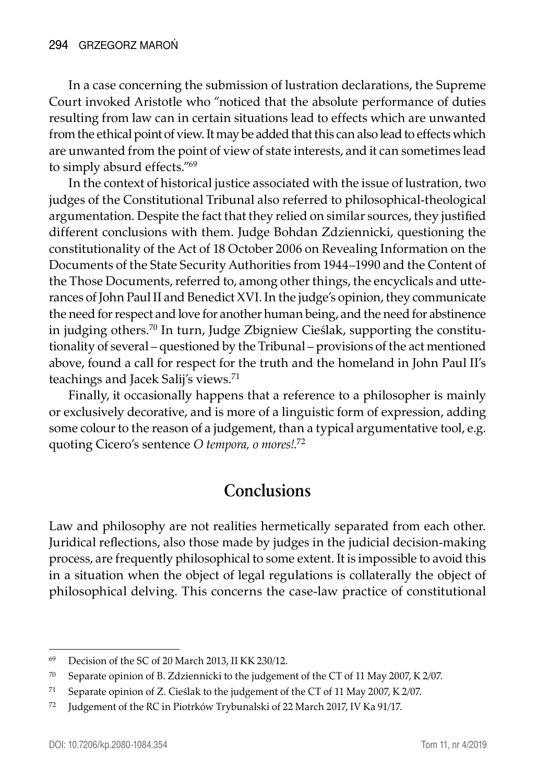In a case concerning the submission of lustration declarations, the Supreme Court invoked Aristotle who "noticed that the absolute performance of duties resulting from law can in certain situations lead to effects which are unwanted from the ethical point of view. It may be added that this can also lead to effects which are unwanted from the point of view of state interests, and it can sometimes lead to simply absurd effects."69

In the context of historical justice associated with the issue of lustration, two judges of the Constitutional Tribunal also referred to philosophical-theological argumentation. Despite the fact that they relied on similar sources, they justified different conclusions with them. Judge Bohdan Zdziennicki, questioning the constitutionality of the Act of 18 October 2006 on Revealing Information on the Documents of the State Security Authorities from 1944–1990 and the Content of the Those Documents, referred to, among other things, the encyclicals and utterances of John Paul II and Benedict XVI. In the judge's opinion, they communicate the need for respect and love for another human being, and the need for abstinence in judging others.70 In turn, Judge Zbigniew Cieślak, supporting the constitutionality of several – questioned by the Tribunal – provisions of the act mentioned above, found a call for respect for the truth and the homeland in John Paul II's teachings and Jacek Salij's views.<sup>71</sup>

Finally, it occasionally happens that a reference to a philosopher is mainly or exclusively decorative, and is more of a linguistic form of expression, adding some colour to the reason of a judgement, than a typical argumentative tool, e.g. quoting Cicero's sentence *O tempora, o mores!*. 72

#### **Conclusions**

Law and philosophy are not realities hermetically separated from each other. Juridical reflections, also those made by judges in the judicial decision-making process, are frequently philosophical to some extent. It is impossible to avoid this in a situation when the object of legal regulations is collaterally the object of philosophical delving. This concerns the case-law practice of constitutional

<sup>69</sup> Decision of the SC of 20 March 2013, II KK 230/12.

<sup>70</sup> Separate opinion of B. Zdziennicki to the judgement of the CT of 11 May 2007, K 2/07.

<sup>71</sup> Separate opinion of Z. Cieślak to the judgement of the CT of 11 May 2007, K 2/07.

<sup>72</sup> Judgement of the RC in Piotrków Trybunalski of 22 March 2017, IV Ka 91/17.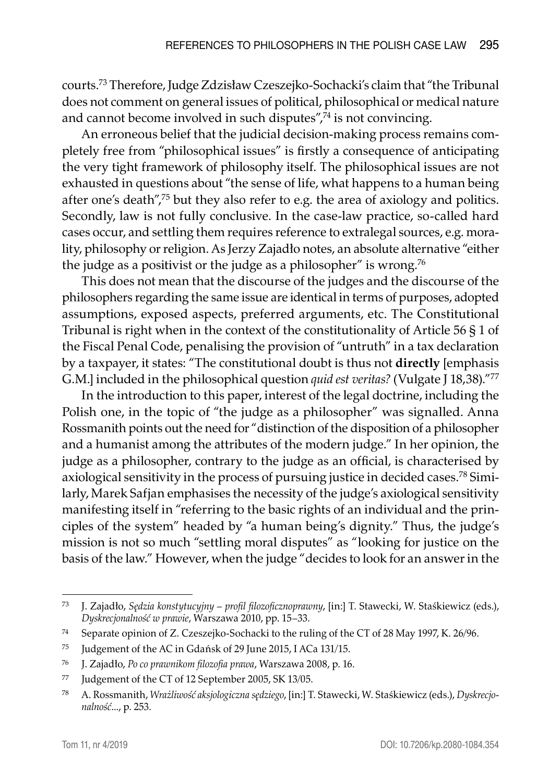courts.73 Therefore, Judge Zdzisław Czeszejko-Sochacki's claim that "the Tribunal does not comment on general issues of political, philosophical or medical nature and cannot become involved in such disputes",<sup>74</sup> is not convincing.

An erroneous belief that the judicial decision-making process remains completely free from "philosophical issues" is firstly a consequence of anticipating the very tight framework of philosophy itself. The philosophical issues are not exhausted in questions about "the sense of life, what happens to a human being after one's death",75 but they also refer to e.g. the area of axiology and politics. Secondly, law is not fully conclusive. In the case-law practice, so-called hard cases occur, and settling them requires reference to extralegal sources, e.g. morality, philosophy or religion. As Jerzy Zajadło notes, an absolute alternative "either the judge as a positivist or the judge as a philosopher" is wrong.<sup>76</sup>

This does not mean that the discourse of the judges and the discourse of the philosophers regarding the same issue are identical in terms of purposes, adopted assumptions, exposed aspects, preferred arguments, etc. The Constitutional Tribunal is right when in the context of the constitutionality of Article 56 § 1 of the Fiscal Penal Code, penalising the provision of "untruth" in a tax declaration by a taxpayer, it states: "The constitutional doubt is thus not **directly** [emphasis G.M.] included in the philosophical question *quid est veritas?* (Vulgate J 18,38)."77

In the introduction to this paper, interest of the legal doctrine, including the Polish one, in the topic of "the judge as a philosopher" was signalled. Anna Rossmanith points out the need for "distinction of the disposition of a philosopher and a humanist among the attributes of the modern judge." In her opinion, the judge as a philosopher, contrary to the judge as an official, is characterised by axiological sensitivity in the process of pursuing justice in decided cases.78 Similarly, Marek Safjan emphasises the necessity of the judge's axiological sensitivity manifesting itself in "referring to the basic rights of an individual and the principles of the system" headed by "a human being's dignity." Thus, the judge's mission is not so much "settling moral disputes" as "looking for justice on the basis of the law." However, when the judge "decides to look for an answer in the

<sup>73</sup> J. Zajadło, *Sędzia konstytucyjny – profil filozoficznoprawny*, [in:] T. Stawecki, W. Staśkiewicz (eds.), *Dyskrecjonalność w prawie*, Warszawa 2010, pp. 15–33.

<sup>74</sup> Separate opinion of Z. Czeszejko-Sochacki to the ruling of the CT of 28 May 1997, K. 26/96.

<sup>75</sup> Judgement of the AC in Gdańsk of 29 June 2015, I ACa 131/15.

<sup>76</sup> J. Zajadło, *Po co prawnikom filozofia prawa*, Warszawa 2008, p. 16.

<sup>77</sup> Judgement of the CT of 12 September 2005, SK 13/05.

<sup>78</sup> A. Rossmanith, *Wrażliwość aksjologiczna sędziego*, [in:] T. Stawecki, W. Staśkiewicz (eds.), *Dyskrecjonalność*..., p. 253.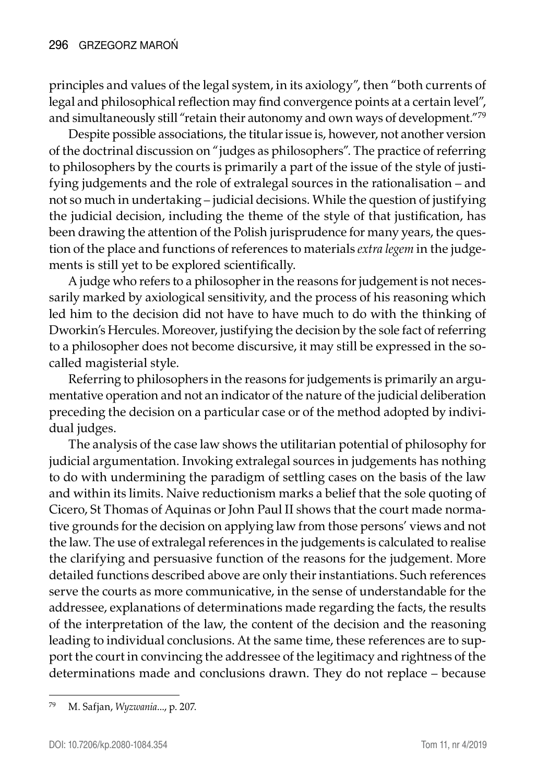principles and values of the legal system, in its axiology", then "both currents of legal and philosophical reflection may find convergence points at a certain level", and simultaneously still "retain their autonomy and own ways of development."<sup>79</sup>

Despite possible associations, the titular issue is, however, not another version of the doctrinal discussion on "judges as philosophers". The practice of referring to philosophers by the courts is primarily a part of the issue of the style of justifying judgements and the role of extralegal sources in the rationalisation – and not so much in undertaking – judicial decisions. While the question of justifying the judicial decision, including the theme of the style of that justification, has been drawing the attention of the Polish jurisprudence for many years, the question of the place and functions of references to materials *extra legem* in the judgements is still yet to be explored scientifically.

A judge who refers to a philosopher in the reasons for judgement is not necessarily marked by axiological sensitivity, and the process of his reasoning which led him to the decision did not have to have much to do with the thinking of Dworkin's Hercules. Moreover, justifying the decision by the sole fact of referring to a philosopher does not become discursive, it may still be expressed in the socalled magisterial style.

Referring to philosophers in the reasons for judgements is primarily an argumentative operation and not an indicator of the nature of the judicial deliberation preceding the decision on a particular case or of the method adopted by individual judges.

The analysis of the case law shows the utilitarian potential of philosophy for judicial argumentation. Invoking extralegal sources in judgements has nothing to do with undermining the paradigm of settling cases on the basis of the law and within its limits. Naive reductionism marks a belief that the sole quoting of Cicero, St Thomas of Aquinas or John Paul II shows that the court made normative grounds for the decision on applying law from those persons' views and not the law. The use of extralegal references in the judgements is calculated to realise the clarifying and persuasive function of the reasons for the judgement. More detailed functions described above are only their instantiations. Such references serve the courts as more communicative, in the sense of understandable for the addressee, explanations of determinations made regarding the facts, the results of the interpretation of the law, the content of the decision and the reasoning leading to individual conclusions. At the same time, these references are to support the court in convincing the addressee of the legitimacy and rightness of the determinations made and conclusions drawn. They do not replace – because

<sup>79</sup> M. Safjan, *Wyzwania*..., p. 207.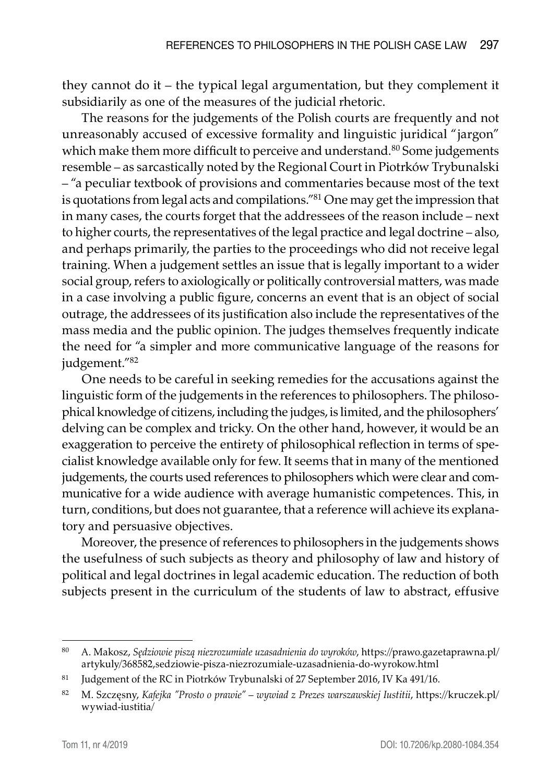they cannot do it – the typical legal argumentation, but they complement it subsidiarily as one of the measures of the judicial rhetoric.

The reasons for the judgements of the Polish courts are frequently and not unreasonably accused of excessive formality and linguistic juridical "jargon" which make them more difficult to perceive and understand.<sup>80</sup> Some judgements resemble – as sarcastically noted by the Regional Court in Piotrków Trybunalski – "a peculiar textbook of provisions and commentaries because most of the text is quotations from legal acts and compilations."81 One may get the impression that in many cases, the courts forget that the addressees of the reason include – next to higher courts, the representatives of the legal practice and legal doctrine – also, and perhaps primarily, the parties to the proceedings who did not receive legal training. When a judgement settles an issue that is legally important to a wider social group, refers to axiologically or politically controversial matters, was made in a case involving a public figure, concerns an event that is an object of social outrage, the addressees of its justification also include the representatives of the mass media and the public opinion. The judges themselves frequently indicate the need for "a simpler and more communicative language of the reasons for judgement."<sup>82</sup>

One needs to be careful in seeking remedies for the accusations against the linguistic form of the judgements in the references to philosophers. The philosophical knowledge of citizens, including the judges, is limited, and the philosophers' delving can be complex and tricky. On the other hand, however, it would be an exaggeration to perceive the entirety of philosophical reflection in terms of specialist knowledge available only for few. It seems that in many of the mentioned judgements, the courts used references to philosophers which were clear and communicative for a wide audience with average humanistic competences. This, in turn, conditions, but does not guarantee, that a reference will achieve its explanatory and persuasive objectives.

Moreover, the presence of references to philosophers in the judgements shows the usefulness of such subjects as theory and philosophy of law and history of political and legal doctrines in legal academic education. The reduction of both subjects present in the curriculum of the students of law to abstract, effusive

<sup>80</sup> A. Makosz, *Sędziowie piszą niezrozumiałe uzasadnienia do wyroków*, https://prawo.gazetaprawna.pl/ artykuly/368582,sedziowie-pisza-niezrozumiale-uzasadnienia-do-wyrokow.html

<sup>81</sup> Judgement of the RC in Piotrków Trybunalski of 27 September 2016, IV Ka 491/16.

<sup>82</sup> M. Szczęsny, *Kafejka "Prosto o prawie" – wywiad z Prezes warszawskiej Iustitii*, https://kruczek.pl/ wywiad-iustitia/